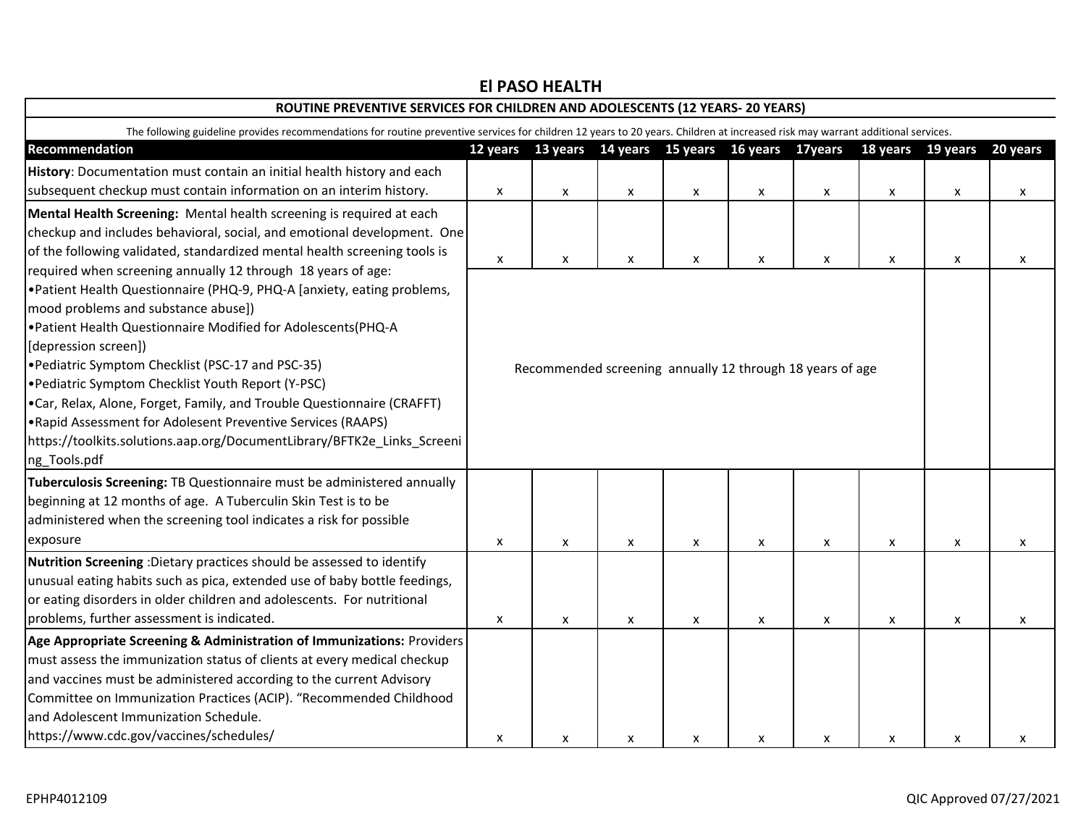| ROUTINE PREVENTIVE SERVICES FOR CHILDREN AND ADOLESCENTS (12 YEARS- 20 YEARS)<br>The following guideline provides recommendations for routine preventive services for children 12 years to 20 years. Children at increased risk may warrant additional services.                                                                                                                                                                                                                                                                                     |                    |                                                           |   |   |   |   |   |   |   |  |
|------------------------------------------------------------------------------------------------------------------------------------------------------------------------------------------------------------------------------------------------------------------------------------------------------------------------------------------------------------------------------------------------------------------------------------------------------------------------------------------------------------------------------------------------------|--------------------|-----------------------------------------------------------|---|---|---|---|---|---|---|--|
|                                                                                                                                                                                                                                                                                                                                                                                                                                                                                                                                                      |                    |                                                           |   |   |   |   |   |   |   |  |
| History: Documentation must contain an initial health history and each                                                                                                                                                                                                                                                                                                                                                                                                                                                                               |                    |                                                           |   |   |   |   |   |   |   |  |
| subsequent checkup must contain information on an interim history.                                                                                                                                                                                                                                                                                                                                                                                                                                                                                   | X                  | x                                                         | X | X | X | X | X | X | X |  |
| Mental Health Screening: Mental health screening is required at each<br>checkup and includes behavioral, social, and emotional development. One<br>of the following validated, standardized mental health screening tools is<br>required when screening annually 12 through 18 years of age:                                                                                                                                                                                                                                                         | $\pmb{\mathsf{x}}$ | X                                                         | X | X | X | X | X | X | X |  |
| .Patient Health Questionnaire (PHQ-9, PHQ-A [anxiety, eating problems,<br>mood problems and substance abuse])<br>. Patient Health Questionnaire Modified for Adolescents(PHQ-A<br>[depression screen])<br>. Pediatric Symptom Checklist (PSC-17 and PSC-35)<br>.Pediatric Symptom Checklist Youth Report (Y-PSC)<br>.Car, Relax, Alone, Forget, Family, and Trouble Questionnaire (CRAFFT)<br>.Rapid Assessment for Adolesent Preventive Services (RAAPS)<br>https://toolkits.solutions.aap.org/DocumentLibrary/BFTK2e_Links_Screeni<br>ng_Tools.pdf |                    | Recommended screening annually 12 through 18 years of age |   |   |   |   |   |   |   |  |
| Tuberculosis Screening: TB Questionnaire must be administered annually<br>beginning at 12 months of age. A Tuberculin Skin Test is to be<br>administered when the screening tool indicates a risk for possible<br>exposure                                                                                                                                                                                                                                                                                                                           | X                  | X                                                         | X | X | X | X | X | X | X |  |
| Nutrition Screening : Dietary practices should be assessed to identify<br>unusual eating habits such as pica, extended use of baby bottle feedings,<br>or eating disorders in older children and adolescents. For nutritional<br>problems, further assessment is indicated.                                                                                                                                                                                                                                                                          | X                  | X                                                         | X | X | X | X | X | X | X |  |
| Age Appropriate Screening & Administration of Immunizations: Providers<br>must assess the immunization status of clients at every medical checkup<br>and vaccines must be administered according to the current Advisory<br>Committee on Immunization Practices (ACIP). "Recommended Childhood<br>and Adolescent Immunization Schedule.<br>https://www.cdc.gov/vaccines/schedules/                                                                                                                                                                   | X                  | X                                                         | X | X | X | X | X | X | x |  |

# **El PASO HEALTH**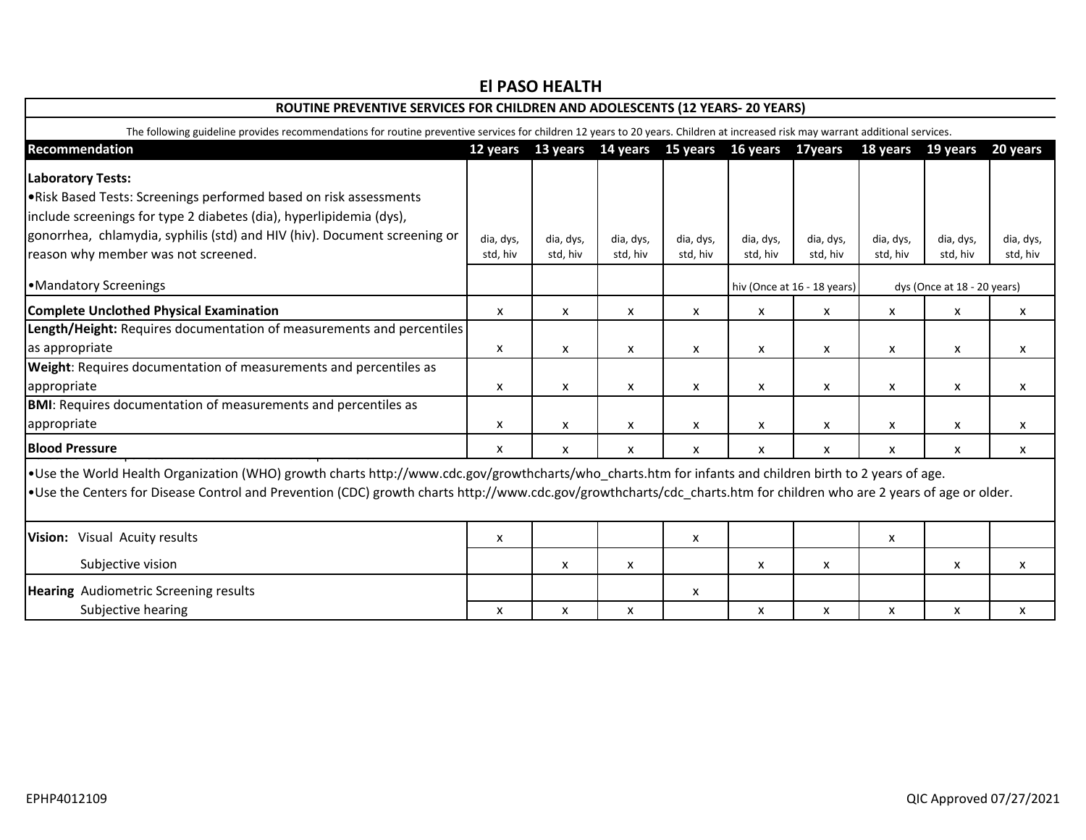| ROUTINE PREVENTIVE SERVICES FOR CHILDREN AND ADOLESCENTS (12 YEARS- 20 YEARS)                                                                                                                                                                                                                                                     |           |           |           |           |                                                       |                  |                   |           |                             |  |
|-----------------------------------------------------------------------------------------------------------------------------------------------------------------------------------------------------------------------------------------------------------------------------------------------------------------------------------|-----------|-----------|-----------|-----------|-------------------------------------------------------|------------------|-------------------|-----------|-----------------------------|--|
| The following guideline provides recommendations for routine preventive services for children 12 years to 20 years. Children at increased risk may warrant additional services.                                                                                                                                                   |           |           |           |           |                                                       |                  |                   |           |                             |  |
| Recommendation                                                                                                                                                                                                                                                                                                                    |           |           |           |           | 12 years 13 years 14 years 15 years 16 years 17 years |                  | 18 years 19 years |           | 20 years                    |  |
| <b>Laboratory Tests:</b>                                                                                                                                                                                                                                                                                                          |           |           |           |           |                                                       |                  |                   |           |                             |  |
| . Risk Based Tests: Screenings performed based on risk assessments                                                                                                                                                                                                                                                                |           |           |           |           |                                                       |                  |                   |           |                             |  |
| include screenings for type 2 diabetes (dia), hyperlipidemia (dys),                                                                                                                                                                                                                                                               |           |           |           |           |                                                       |                  |                   |           |                             |  |
| gonorrhea, chlamydia, syphilis (std) and HIV (hiv). Document screening or                                                                                                                                                                                                                                                         | dia, dys, | dia, dys, | dia, dys, | dia, dys, | dia, dys,                                             | dia, dys,        | dia, dys,         | dia, dys, | dia, dys,                   |  |
| reason why member was not screened.                                                                                                                                                                                                                                                                                               | std, hiv  | std, hiv  | std, hiv  | std, hiv  | std, hiv                                              | std, hiv         | std, hiv          | std, hiv  | std, hiv                    |  |
| •Mandatory Screenings                                                                                                                                                                                                                                                                                                             |           |           |           |           | hiv (Once at 16 - 18 years)                           |                  |                   |           | dys (Once at 18 - 20 years) |  |
| <b>Complete Unclothed Physical Examination</b>                                                                                                                                                                                                                                                                                    | X         | X         | X         | X         | X                                                     | X                | X                 | X         | X                           |  |
| Length/Height: Requires documentation of measurements and percentiles                                                                                                                                                                                                                                                             |           |           |           |           |                                                       |                  |                   |           |                             |  |
| as appropriate                                                                                                                                                                                                                                                                                                                    | X         | X         | X         | X         | X                                                     | X                | x                 | X         | X                           |  |
| Weight: Requires documentation of measurements and percentiles as                                                                                                                                                                                                                                                                 |           |           |           |           |                                                       |                  |                   |           |                             |  |
| appropriate                                                                                                                                                                                                                                                                                                                       | X         | X         | X         | x         | X                                                     | X                | X                 | X         | x                           |  |
| <b>BMI:</b> Requires documentation of measurements and percentiles as                                                                                                                                                                                                                                                             |           |           |           |           |                                                       |                  |                   |           |                             |  |
| appropriate                                                                                                                                                                                                                                                                                                                       | X         | X         | X         | X         | $\pmb{\mathsf{X}}$                                    | $\boldsymbol{x}$ | X                 | X         | X                           |  |
| <b>Blood Pressure</b>                                                                                                                                                                                                                                                                                                             | X         | X         | x         | x         | X                                                     | X                | X                 | X         | x                           |  |
| • Use the World Health Organization (WHO) growth charts http://www.cdc.gov/growthcharts/who_charts.htm for infants and children birth to 2 years of age.<br>. Use the Centers for Disease Control and Prevention (CDC) growth charts http://www.cdc.gov/growthcharts/cdc_charts.htm for children who are 2 years of age or older. |           |           |           |           |                                                       |                  |                   |           |                             |  |
|                                                                                                                                                                                                                                                                                                                                   |           |           |           |           |                                                       |                  |                   |           |                             |  |
| Vision: Visual Acuity results                                                                                                                                                                                                                                                                                                     | X         |           |           | X         |                                                       |                  | X                 |           |                             |  |
| Subjective vision                                                                                                                                                                                                                                                                                                                 |           | X         | X         |           | X                                                     | X                |                   | X         | X                           |  |
| <b>Hearing</b> Audiometric Screening results                                                                                                                                                                                                                                                                                      |           |           |           | X         |                                                       |                  |                   |           |                             |  |
| Subjective hearing                                                                                                                                                                                                                                                                                                                | X         | X         | X         |           | X                                                     | X                | X                 | X         | X                           |  |

## **El PASO HEALTH**